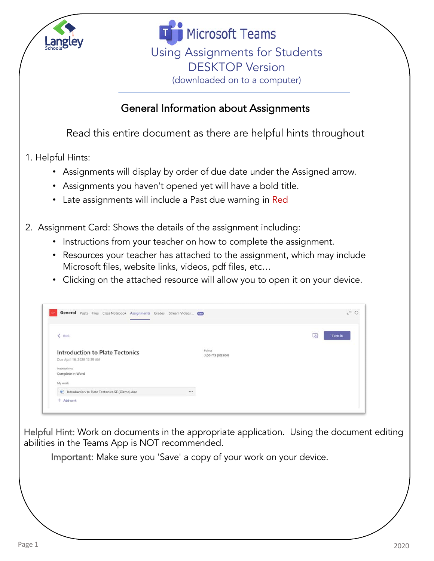

**Microsoft Teams** Using Assignments for Students DESKTOP Version (downloaded on to a computer)

## General Information about Assignments

Read this entire document as there are helpful hints throughout

- 1. Helpful Hints:
	- Assignments will display by order of due date under the Assigned arrow.
	- Assignments you haven't opened yet will have a bold title.
	- Late assignments will include a Past due warning in Red
- 2. Assignment Card: Shows the details of the assignment including:
	- Instructions from your teacher on how to complete the assignment.
	- Resources your teacher has attached to the assignment, which may include Microsoft files, website links, videos, pdf files, etc…
	- Clicking on the attached resource will allow you to open it on your device.

| General Posts Files Class Notebook Assignments Grades Stream Videos  ( |                             | $k^2$ 0      |
|------------------------------------------------------------------------|-----------------------------|--------------|
| $\langle$ Back                                                         |                             | 囚<br>Turn in |
| <b>Introduction to Plate Tectonics</b><br>Due April 16, 2020 12:59 AM  | Points<br>3 points possible |              |
| Instructions<br>Complete in Word                                       |                             |              |
| My work                                                                |                             |              |
| htroduction to Plate Tectonics SE (Gizmo).doc                          | $\cdots$                    |              |
| $+$ Add work                                                           |                             |              |

Helpful Hint: Work on documents in the appropriate application. Using the document editing abilities in the Teams App is NOT recommended.

Important: Make sure you 'Save' a copy of your work on your device.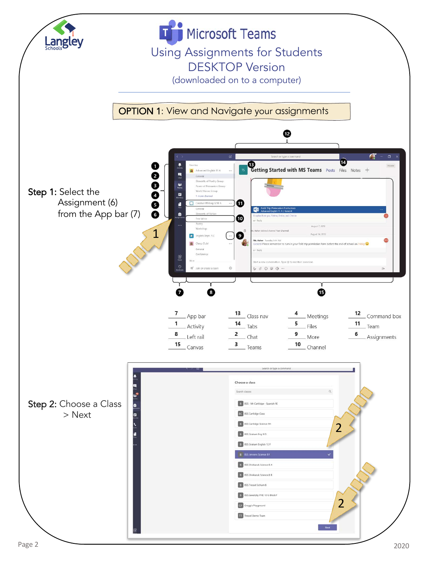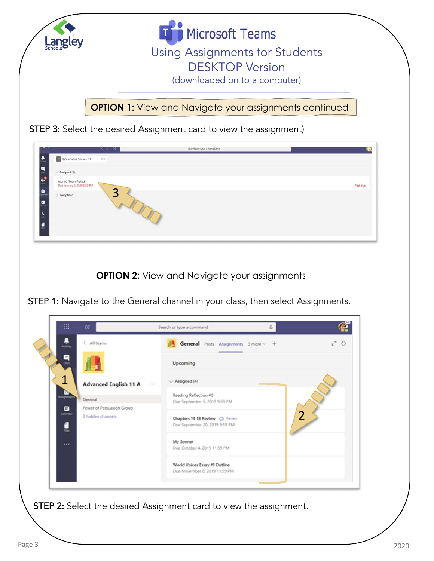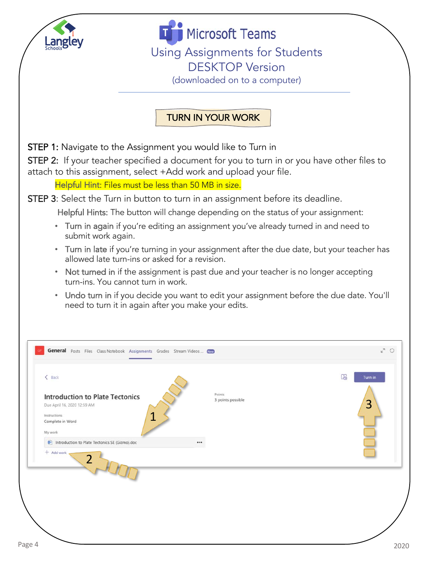

**Microsoft Teams** Using Assignments for Students DESKTOP Version

(downloaded on to a computer)

## TURN IN YOUR WORK

STEP 1: Navigate to the Assignment you would like to Turn in

STEP 2: If your teacher specified a document for you to turn in or you have other files to attach to this assignment, select +Add work and upload your file.

Helpful Hint: Files must be less than 50 MB in size.

STEP 3: Select the Turn in button to turn in an assignment before its deadline.

Helpful Hints: The button will change depending on the status of your assignment:

- Turn in again if you're editing an assignment you've already turned in and need to submit work again.
- Turn in late if you're turning in your assignment after the due date, but your teacher has allowed late turn-ins or asked for a revision.
- Not turned in if the assignment is past due and your teacher is no longer accepting turn-ins. You cannot turn in work.
- Undo turn in if you decide you want to edit your assignment before the due date. You'll need to turn it in again after you make your edits.